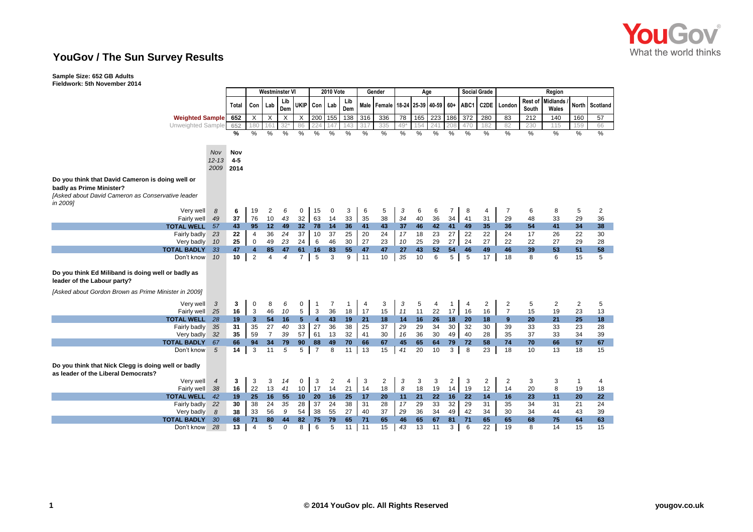

## **YouGov / The Sun Survey Results**

## **Sample Size: 652 GB Adults Fieldwork: 5th November 2014**

|                                                                                            |                | Westminster VI |                |                |                           |                 | <b>2010 Vote</b><br>Gender |                |            |            |                                   |                 | Age |                 |                |      | <b>Social Grade</b> | Region         |                  |                          |                |                |  |
|--------------------------------------------------------------------------------------------|----------------|----------------|----------------|----------------|---------------------------|-----------------|----------------------------|----------------|------------|------------|-----------------------------------|-----------------|-----|-----------------|----------------|------|---------------------|----------------|------------------|--------------------------|----------------|----------------|--|
|                                                                                            |                | Total          | Con I          | Lab            | Lib<br>Dem                | <b>UKIP</b>     | Con Lab                    |                | Lib<br>Dem |            | Male Female 18-24 25-39 40-59 60+ |                 |     |                 |                | ABC1 |                     | C2DE London    | Rest of<br>South | <b>Midlands</b><br>Wales |                | North Scotland |  |
| <b>Weighted Sample</b>                                                                     |                | 652            | X              | X              | $\boldsymbol{\mathsf{X}}$ | $\times$        | 200                        | 155            | 138        | 316        | 336                               | 78              |     | 165 223         | 186            | 372  | 280                 | 83             | 212              | 140                      | 160            | 57             |  |
| <b>Unweighted Sample</b>                                                                   |                | 652            | 180            | 161            | $32*$                     | 86              | 224                        | 147            | 143        | 317        | 335                               | 49 <sup>3</sup> | 154 | 241             | 208            | 470  | 182                 | 82             | 230              | 115                      | 159            | 66             |  |
|                                                                                            |                | %              | %              | %              | %                         | %               | %                          | %              | %          | %          | %                                 | %               | %   | %               | %              | %    | %                   | %              | %                | %                        | %              | %              |  |
|                                                                                            |                |                |                |                |                           |                 |                            |                |            |            |                                   |                 |     |                 |                |      |                     |                |                  |                          |                |                |  |
|                                                                                            | Nov            | Nov            |                |                |                           |                 |                            |                |            |            |                                   |                 |     |                 |                |      |                     |                |                  |                          |                |                |  |
|                                                                                            | $12 - 13$      | $4 - 5$        |                |                |                           |                 |                            |                |            |            |                                   |                 |     |                 |                |      |                     |                |                  |                          |                |                |  |
|                                                                                            | 2009           | 2014           |                |                |                           |                 |                            |                |            |            |                                   |                 |     |                 |                |      |                     |                |                  |                          |                |                |  |
| Do you think that David Cameron is doing well or                                           |                |                |                |                |                           |                 |                            |                |            |            |                                   |                 |     |                 |                |      |                     |                |                  |                          |                |                |  |
| badly as Prime Minister?                                                                   |                |                |                |                |                           |                 |                            |                |            |            |                                   |                 |     |                 |                |      |                     |                |                  |                          |                |                |  |
| [Asked about David Cameron as Conservative leader<br>in 2009]                              |                |                |                |                |                           |                 |                            |                |            |            |                                   |                 |     |                 |                |      |                     |                |                  |                          |                |                |  |
| Very well                                                                                  | 8              | 6              | 19             | $\overline{c}$ | 6                         | 0               | 15                         | 0              | 3          | 6          | 5                                 | 3               | 6   | 6               | 7              | 8    | 4                   | $\overline{7}$ | 6                | 8                        | 5              | 2              |  |
| Fairly well                                                                                | 49             | 37             | 76             | 10             | 43                        | 32              | 63                         | 14             | 33         | 35         | 38                                | 34              | 40  | 36              | 34             | 41   | 31                  | 29             | 48               | 33                       | 29             | 36             |  |
| <b>TOTAL WELL</b>                                                                          | 57             | 43             | 95             | 12             | 49                        | 32 <sub>2</sub> | 78                         | 14             | 36         | 41         | 43                                | 37              | 46  | 42              | 41             | 49   | 35                  | 36             | 54               | 41                       | 34             | 38             |  |
| Fairly badly                                                                               | 23             | 22             | $\overline{4}$ | 36             | 24                        | 37              | 10                         | 37             | 25         | 20         | 24                                | 17              | 18  | 23              | 27             | 22   | 22                  | 24             | 17               | 26                       | 22             | 30             |  |
| Very badly                                                                                 | 10             | 25             | 0              | 49             | 23                        | 24              | 6                          | 46             | 30         | 27         | 23                                | 10              | 25  | 29              | 27             | 24   | 27                  | 22             | 22               | 27                       | 29             | 28             |  |
| <b>TOTAL BADLY</b>                                                                         | 33             | 47             | $\overline{4}$ | 85             | 47                        | 61              | 16                         | 83             | 55         | 47         | 47                                | 27              | 43  | 52              | 54             | 46   | 49                  | 46             | 39               | 53                       | 51             | 58             |  |
| Don't know                                                                                 | 10             | 10             | $\overline{2}$ | 4              | 4                         | $\overline{7}$  | 5                          | 3              | 9          | 11         | 10                                | 35              | 10  | 6               | 5              | 5    | 17                  | 18             | 8                | 6                        | 15             | 5              |  |
| Do you think Ed Miliband is doing well or badly as<br>leader of the Labour party?          |                |                |                |                |                           |                 |                            |                |            |            |                                   |                 |     |                 |                |      |                     |                |                  |                          |                |                |  |
| [Asked about Gordon Brown as Prime Minister in 2009]                                       |                |                |                |                |                           |                 |                            |                |            |            |                                   |                 |     |                 |                |      |                     |                |                  |                          |                |                |  |
| Very well                                                                                  | 3              | 3              | 0              | 8              | 6                         | 0               | 1                          | 7              | 1          | 4          | 3                                 | 3               | 5   | 4               | 1              | 4    | $\overline{c}$      | $\overline{2}$ | 5                | 2                        | $\overline{2}$ | 5              |  |
| Fairly well                                                                                | 25             | 16             | 3              | 46             | 10                        | 5               | $\mathbf{3}$               | 36             | 18         | 17         | 15                                | 11              | 11  | 22              | 17             | 16   | 16                  | $\overline{7}$ | 15               | 19                       | 23             | 13             |  |
| <b>TOTAL WELL</b>                                                                          | 28             | 19             | 3 <sup>1</sup> | 54             | 16                        | 5               | $\overline{\mathbf{4}}$    | 43             | 19         | 21         | 18                                | 14              | 16  | 26              | 18             | 20   | 18                  | 9              | 20               | 21                       | 25             | 18             |  |
| Fairly badly                                                                               | 35             | 31             | 35             | 27             | 40                        | 33              | 27                         | 36             | 38         | 25         | 37                                | 29              | 29  | $\overline{34}$ | 30             | 32   | 30                  | 39             | 33               | 33                       | 23             | 28             |  |
| Very badly                                                                                 | 32             | 35             | 59             | $\overline{7}$ | 39                        | 57              | 61                         | 13             | 32         | 41         | 30                                | 16              | 36  | 30              | 49             | 40   | 28                  | 35             | 37               | 33                       | 34             | 39             |  |
| <b>TOTAL BADLY</b>                                                                         | 67             | 66             | 94             | 34             | 79                        | 90              | 88                         | 49             | 70         | 66         | 67                                | 45              | 65  | 64              | 79             | 72   | 58                  | 74             | 70               | 66                       | 57             | 67             |  |
| Don't know                                                                                 | 5              | 14             | 3              | 11             | 5                         | 5 <sup>5</sup>  | $\overline{7}$             | 8              | $11$ 13    |            | 15                                | 41              | 20  | 10              | 3              | 8    | 23                  | 18             | 10               | 13                       | 18             | 15             |  |
| Do you think that Nick Clegg is doing well or badly<br>as leader of the Liberal Democrats? |                |                |                |                |                           |                 |                            |                |            |            |                                   |                 |     |                 |                |      |                     |                |                  |                          |                |                |  |
| Very well                                                                                  | $\overline{4}$ | 3              | 3              | 3              | 14                        | 0               | 3                          | $\overline{2}$ | 4          | 3          | $\overline{2}$                    | 3               | 3   | 3               | $\overline{2}$ | 3    | $\overline{c}$      | $\overline{2}$ | 3                | 3                        | $\mathbf{1}$   | 4              |  |
| Fairly well                                                                                | 38             | 16             | 22             | 13             | 41                        | 10              | 17                         | 14             | 21         | 14         | 18                                | 8               | 18  | 19              | 14             | 19   | 12                  | 14             | 20               | 8                        | 19             | 18             |  |
| <b>TOTAL WELL</b>                                                                          | 42             | 19             | 25             | 16             | 55                        | 10              | 20                         | 16             | 25         | 17         | 20                                | 11              | 21  | 22              | 16             | 22   | 14                  | 16             | 23               | 11                       | 20             | 22             |  |
| Fairly badly                                                                               | 22             | 30             | 38             | 24             | 35                        | 28              | 37                         | 24             | 38         | 31         | 28                                | 17              | 29  | 33              | 32             | 29   | 31                  | 35             | 34               | 31                       | 21             | 24             |  |
| Very badly                                                                                 | 8              | 38             | 33             | 56             | 9                         | 54              | 38                         | 55             | 27         | 40         | 37                                | 29              | 36  | 34              | 49             | 42   | 34                  | 30             | 34               | 44                       | 43             | 39             |  |
| <b>TOTAL BADLY</b>                                                                         | 30             | 68             | 71             | 80             | 44                        | 82              | 75                         | 79             | 65         | 71         | 65                                | 46              | 65  | 67              | 81             | 71   | 65                  | 65             | 68               | 75                       | 64             | 63             |  |
| Don't know                                                                                 | 28             | 13             | $\overline{4}$ | 5              | 0                         | 8               | 6                          | 5              | 11         | $\vert$ 11 | 15                                | 43              | 13  | 11              | 3              | 6    | 22                  | 19             | 8                | 14                       | 15             | 15             |  |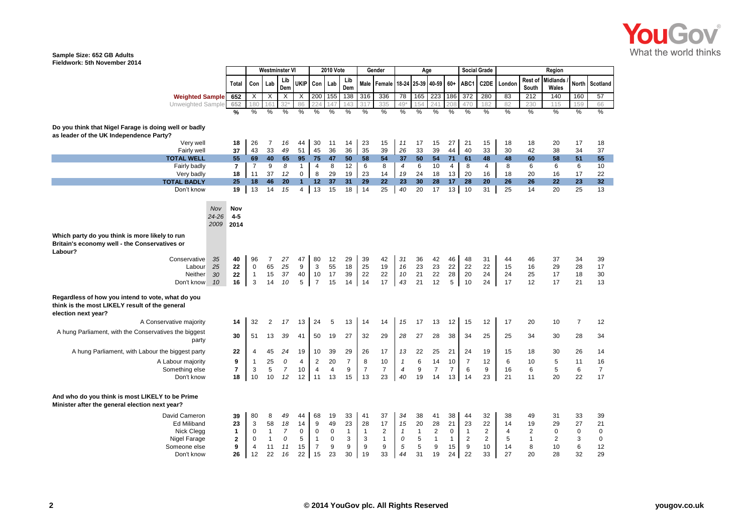

## **Sample Size: 652 GB Adults Fieldwork: 5th November 2014**

|                                                                                                                            |                  |                |                |                           | <b>Westminster VI</b> |                          |                 | <b>2010 Vote</b> |                       | Gender         |                |                | Age               |                |                |                | <b>Social Grade</b> |                |                  | Region            |                |                |
|----------------------------------------------------------------------------------------------------------------------------|------------------|----------------|----------------|---------------------------|-----------------------|--------------------------|-----------------|------------------|-----------------------|----------------|----------------|----------------|-------------------|----------------|----------------|----------------|---------------------|----------------|------------------|-------------------|----------------|----------------|
|                                                                                                                            |                  | Total          | Con            | Lab                       | Lib<br>Dem            |                          | UKIP Con Lab    |                  | Lib<br>Dem            | Male I         | Female         |                | 18-24 25-39 40-59 |                | 60+            | ABC1           | C <sub>2</sub> DE   | London         | Rest of<br>South | Midlands<br>Wales | <b>North</b>   | Scotland       |
| <b>Weighted Sample</b>                                                                                                     |                  | 652            | X              | $\boldsymbol{\mathsf{X}}$ | X                     | X                        | 200             | 155              | 138                   | 316            | 336            | 78             | 165               | 223            | 186            | 372            | 280                 | 83             | 212              | 140               | 160            | 57             |
| Unweighted Sample                                                                                                          |                  | 652            | 180            | 161                       | 32°                   | 86                       | 22 <sub>1</sub> | 147              | 143                   |                | 335            | 49             | 154               | 241            | 208            | 470            | 182                 | 82             | 230              | 115               | 159            | 66             |
|                                                                                                                            |                  | %              | $\frac{0}{2}$  | %                         | %                     | %                        | %               | %                | %                     | %              | %              | %              | %                 | $\frac{0}{6}$  | %              | $\frac{0}{2}$  | $\frac{0}{0}$       | $\frac{0}{6}$  | $\frac{0}{6}$    | $\frac{9}{6}$     | $\frac{0}{2}$  | $\frac{0}{6}$  |
|                                                                                                                            |                  |                |                |                           |                       |                          |                 |                  |                       |                |                |                |                   |                |                |                |                     |                |                  |                   |                |                |
| Do you think that Nigel Farage is doing well or badly<br>as leader of the UK Independence Party?                           |                  |                |                |                           |                       |                          |                 |                  |                       |                |                |                |                   |                |                |                |                     |                |                  |                   |                |                |
| Very well                                                                                                                  |                  | 18             | 26             | 7                         | 16                    | 44                       | 30              | 11               | 14                    | 23             | 15             | 11             | 17                | 15             | 27             | 21             | 15                  | 18             | 18               | 20                | 17             | 18             |
| Fairly well                                                                                                                |                  | 37             | 43             | 33                        | 49                    | 51                       | 45              | 36               | 36                    | 35             | 39             | 26             | 33                | 39             | 44             | 40             | 33                  | 30             | 42               | 38                | 34             | 37             |
| <b>TOTAL WELL</b>                                                                                                          |                  | 55             | 69             | 40                        | 65                    | 95                       | 75              | 47               | 50                    | 58             | 54             | 37             | 50                | 54             | 71             | 61             | 48                  | 48             | 60               | 58                | 51             | 55             |
| Fairly badly                                                                                                               |                  | $\overline{7}$ | $\overline{7}$ | 9                         | 8                     | $\mathbf{1}$             | $\overline{4}$  | 8                | 12                    | 6              | 8              | $\overline{4}$ | 6                 | 10             | $\overline{4}$ | 8              | 4                   | 8              | 6                | 6                 | 6              | 10             |
| Very badly                                                                                                                 |                  | 18             | 11             | 37                        | 12                    | $\mathbf 0$              | 8               | 29               | 19                    | 23             | 14             | 19             | 24                | 18             | 13             | 20             | 16                  | 18             | 20               | 16                | 17             | 22             |
| <b>TOTAL BADLY</b><br>Don't know                                                                                           |                  | 25<br>19       | 18<br>13       | 46<br>14                  | 20<br>15              | $\mathbf{1}$<br>$4 \mid$ | 12<br>13        | 37<br>15         | 31<br>18 <sup>1</sup> | 29<br>14       | 22<br>25       | 23<br>40       | 30<br>20          | 28<br>17       | 17<br>13       | 28<br>10       | 20<br>31            | 26<br>25       | 26<br>14         | 22<br>20          | 23<br>25       | 32<br>13       |
|                                                                                                                            |                  |                |                |                           |                       |                          |                 |                  |                       |                |                |                |                   |                |                |                |                     |                |                  |                   |                |                |
|                                                                                                                            |                  |                |                |                           |                       |                          |                 |                  |                       |                |                |                |                   |                |                |                |                     |                |                  |                   |                |                |
|                                                                                                                            | Nov<br>$24 - 26$ | Nov<br>$4 - 5$ |                |                           |                       |                          |                 |                  |                       |                |                |                |                   |                |                |                |                     |                |                  |                   |                |                |
|                                                                                                                            | 2009             | 2014           |                |                           |                       |                          |                 |                  |                       |                |                |                |                   |                |                |                |                     |                |                  |                   |                |                |
|                                                                                                                            |                  |                |                |                           |                       |                          |                 |                  |                       |                |                |                |                   |                |                |                |                     |                |                  |                   |                |                |
| Which party do you think is more likely to run<br>Britain's economy well - the Conservatives or<br>Labour?                 |                  |                |                |                           |                       |                          |                 |                  |                       |                |                |                |                   |                |                |                |                     |                |                  |                   |                |                |
| Conservative                                                                                                               | 35               | 40             | 96             | $\overline{7}$            | 27                    | 47                       | 80              | 12               | 29                    | 39             | 42             | 31             | 36                | 42             | 46             | 48             | 31                  | 44             | 46               | 37                | 34             | 39             |
| Labour                                                                                                                     | 25               | 22             | $\mathbf 0$    | 65                        | 25                    | 9                        | 3               | 55               | 18                    | 25             | 19             | 16             | 23                | 23             | 22             | 22             | 22                  | 15             | 16               | 29                | 28             | 17             |
| Neither                                                                                                                    | 30               | 22             | $\mathbf{1}$   | 15                        | 37                    | 40                       | 10              | 17               | 39                    | 22             | 22             | 10             | 21                | 22             | 28             | 20             | 24                  | 24             | 25               | 17                | 18             | 30             |
| Don't know                                                                                                                 | 10               | 16             | 3              | 14                        | 10                    | 5                        | $\overline{7}$  | 15               | 14                    | 14             | 17             | 43             | 21                | 12             | 5              | 10             | 24                  | 17             | 12               | 17                | 21             | 13             |
| Regardless of how you intend to vote, what do you<br>think is the most LIKELY result of the general<br>election next year? |                  |                |                |                           |                       |                          |                 |                  |                       |                |                |                |                   |                |                |                |                     |                |                  |                   |                |                |
| A Conservative majority                                                                                                    |                  | 14             | 32             | $\overline{2}$            | 17                    | 13                       | 24              | 5                | 13                    | 14             | 14             | 15             | 17                | 13             | 12             | 15             | 12                  | 17             | 20               | 10                | $\overline{7}$ | 12             |
| A hung Parliament, with the Conservatives the biggest<br>party                                                             |                  | 30             | 51             | 13                        | 39                    | 41                       | 50              | 19               | 27                    | 32             | 29             | 28             | 27                | 28             | 38             | 34             | 25                  | 25             | 34               | 30                | 28             | 34             |
| A hung Parliament, with Labour the biggest party                                                                           |                  | 22             | 4              | 45                        | 24                    | 19                       | 10              | 39               | 29                    | 26             | 17             | 13             | 22                | 25             | 21             | 24             | 19                  | 15             | 18               | 30                | 26             | 14             |
| A Labour majority                                                                                                          |                  | 9              | 1              | 25                        | 0                     | 4                        | $\overline{2}$  | 20               | $\overline{7}$        | 8              | 10             | 1              | 6                 | 14             | 10             | $\overline{7}$ | 12                  | 6              | 10               | 5                 | 11             | 16             |
| Something else                                                                                                             |                  | $\overline{7}$ | 3              | 5                         | $\overline{7}$        | 10                       | $\overline{4}$  | $\overline{4}$   | $9\,$                 | $\overline{7}$ | $\overline{7}$ | $\overline{4}$ | 9                 | $\overline{7}$ | $\overline{7}$ | 6              | 9                   | 16             | 6                | 5                 | 6              | $\overline{7}$ |
| Don't know                                                                                                                 |                  | 18             | 10             | 10                        | 12                    | 12                       | 11              | 13               | 15                    | 13             | 23             | 40             | 19                | 14             | 13             | 14             | 23                  | 21             | 11               | 20                | 22             | 17             |
|                                                                                                                            |                  |                |                |                           |                       |                          |                 |                  |                       |                |                |                |                   |                |                |                |                     |                |                  |                   |                |                |
| And who do you think is most LIKELY to be Prime<br>Minister after the general election next year?                          |                  |                |                |                           |                       |                          |                 |                  |                       |                |                |                |                   |                |                |                |                     |                |                  |                   |                |                |
| David Cameron                                                                                                              |                  | 39             | 80             | 8                         | 49                    | 44                       | 68              | 19               | 33                    | 41             | 37             | 34             | 38                | 41             | 38             | 44             | 32                  | 38             | 49               | 31                | 33             | 39             |
| Ed Miliband                                                                                                                |                  | 23             | 3              | 58                        | 18                    | 14                       | 9               | 49               | 23                    | 28             | 17             | 15             | 20                | 28             | 21             | 23             | 22                  | 14             | 19               | 29                | 27             | 21             |
| Nick Clegg                                                                                                                 |                  | $\mathbf{1}$   | $\mathbf 0$    | $\mathbf{1}$              | $\overline{7}$        | $\mathbf 0$              | $\mathbf 0$     | $\mathbf 0$      | $\mathbf{1}$          | $\overline{1}$ | $\overline{2}$ | $\mathbf{1}$   | $\mathbf{1}$      | $\overline{2}$ | $\mathbf 0$    | $\mathbf{1}$   | $\overline{2}$      | $\overline{4}$ | $\overline{c}$   | $\mathbf 0$       | $\mathbf 0$    | 0              |
| Nigel Farage                                                                                                               |                  | $\mathbf{2}$   | $\mathbf 0$    | $\mathbf{1}$              | 0                     | 5                        | $\mathbf{1}$    | $\mathbf 0$      | 3                     | 3              | $\mathbf{1}$   | 0              | 5                 | $\mathbf{1}$   | $\mathbf{1}$   | $\sqrt{2}$     | $\overline{2}$      | 5              | $\mathbf{1}$     | 2                 | 3              | 0              |
| Someone else                                                                                                               |                  | 9              | $\overline{4}$ | 11                        | 11                    | 15                       | $\overline{7}$  | 9                | 9                     | 9              | 9              | 5              | 5                 | 9              | 15             | 9              | 10                  | 14             | 8                | 10                | 6              | 12             |
| Don't know                                                                                                                 |                  | 26             | 12             | 22                        | 16                    | 22                       | 15              | 23               | 30                    | 19             | 33             | 44             | 31                | 19             | 24             | 22             | 33                  | 27             | 20               | 28                | 32             | 29             |